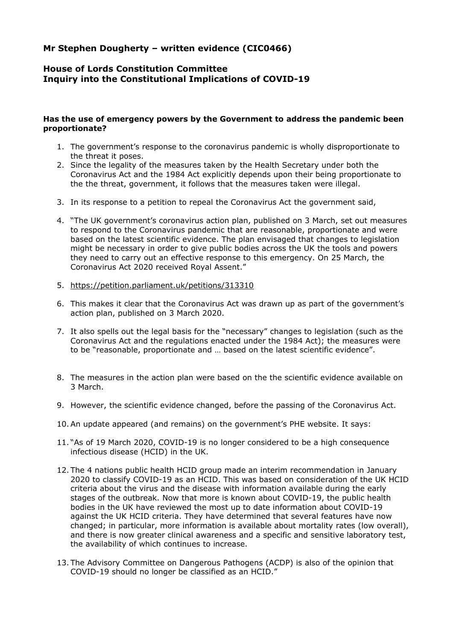## **Mr Stephen Dougherty – written evidence (CIC0466)**

## **House of Lords Constitution Committee Inquiry into the Constitutional Implications of COVID-19**

## **Has the use of emergency powers by the Government to address the pandemic been proportionate?**

- 1. The government's response to the coronavirus pandemic is wholly disproportionate to the threat it poses.
- 2. Since the legality of the measures taken by the Health Secretary under both the Coronavirus Act and the 1984 Act explicitly depends upon their being proportionate to the the threat, government, it follows that the measures taken were illegal.
- 3. In its response to a petition to repeal the Coronavirus Act the government said,
- 4. "The UK government's coronavirus action plan, published on 3 March, set out measures to respond to the Coronavirus pandemic that are reasonable, proportionate and were based on the latest scientific evidence. The plan envisaged that changes to legislation might be necessary in order to give public bodies across the UK the tools and powers they need to carry out an effective response to this emergency. On 25 March, the Coronavirus Act 2020 received Royal Assent."
- 5. <https://petition.parliament.uk/petitions/313310>
- 6. This makes it clear that the Coronavirus Act was drawn up as part of the government's action plan, published on 3 March 2020.
- 7. It also spells out the legal basis for the "necessary" changes to legislation (such as the Coronavirus Act and the regulations enacted under the 1984 Act); the measures were to be "reasonable, proportionate and … based on the latest scientific evidence".
- 8. The measures in the action plan were based on the the scientific evidence available on 3 March.
- 9. However, the scientific evidence changed, before the passing of the Coronavirus Act.
- 10.An update appeared (and remains) on the government's PHE website. It says:
- 11. "As of 19 March 2020, COVID-19 is no longer considered to be a high consequence infectious disease (HCID) in the UK.
- 12. The 4 nations public health HCID group made an interim recommendation in January 2020 to classify COVID-19 as an HCID. This was based on consideration of the UK HCID criteria about the virus and the disease with information available during the early stages of the outbreak. Now that more is known about COVID-19, the public health bodies in the UK have reviewed the most up to date information about COVID-19 against the UK HCID criteria. They have determined that several features have now changed; in particular, more information is available about mortality rates (low overall), and there is now greater clinical awareness and a specific and sensitive laboratory test, the availability of which continues to increase.
- 13. The Advisory Committee on Dangerous Pathogens (ACDP) is also of the opinion that COVID-19 should no longer be classified as an HCID."